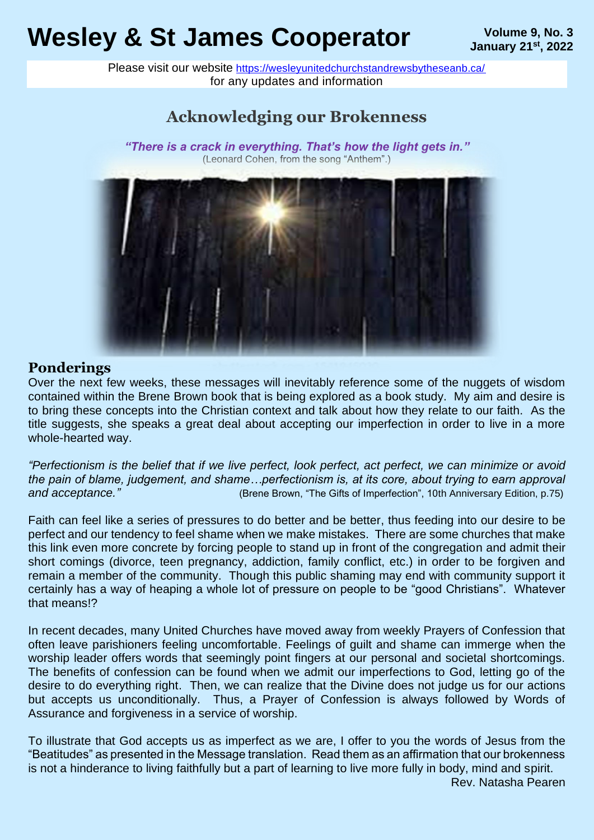# **Wesley & St James Cooperator** Wesley & St James Algorithme 9, No. 3

Please visit our website <https://wesleyunitedchurchstandrewsbytheseanb.ca/> for any updates and information

# **Acknowledging our Brokenness**

### *"There is a crack in everything. That's how the light gets in."* (Leonard Cohen, from the song "Anthem".)

### **Ponderings**

Over the next few weeks, these messages will inevitably reference some of the nuggets of wisdom contained within the Brene Brown book that is being explored as a book study. My aim and desire is to bring these concepts into the Christian context and talk about how they relate to our faith. As the title suggests, she speaks a great deal about accepting our imperfection in order to live in a more whole-hearted way.

*"Perfectionism is the belief that if we live perfect, look perfect, act perfect, we can minimize or avoid the pain of blame, judgement, and shame…perfectionism is, at its core, about trying to earn approval and acceptance."* (Brene Brown, "The Gifts of Imperfection", 10th Anniversary Edition, p.75)

Faith can feel like a series of pressures to do better and be better, thus feeding into our desire to be perfect and our tendency to feel shame when we make mistakes. There are some churches that make this link even more concrete by forcing people to stand up in front of the congregation and admit their short comings (divorce, teen pregnancy, addiction, family conflict, etc.) in order to be forgiven and remain a member of the community. Though this public shaming may end with community support it certainly has a way of heaping a whole lot of pressure on people to be "good Christians". Whatever that means!?

In recent decades, many United Churches have moved away from weekly Prayers of Confession that often leave parishioners feeling uncomfortable. Feelings of guilt and shame can immerge when the worship leader offers words that seemingly point fingers at our personal and societal shortcomings. The benefits of confession can be found when we admit our imperfections to God, letting go of the desire to do everything right. Then, we can realize that the Divine does not judge us for our actions but accepts us unconditionally. Thus, a Prayer of Confession is always followed by Words of Assurance and forgiveness in a service of worship.

To illustrate that God accepts us as imperfect as we are, I offer to you the words of Jesus from the "Beatitudes" as presented in the Message translation. Read them as an affirmation that our brokenness is not a hinderance to living faithfully but a part of learning to live more fully in body, mind and spirit.

Rev. Natasha Pearen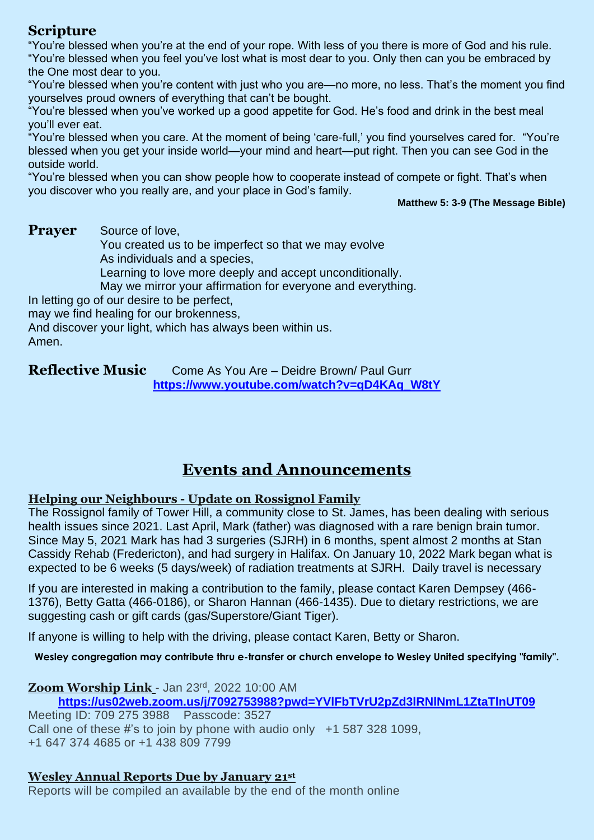## **Scripture**

"You're blessed when you're at the end of your rope. With less of you there is more of God and his rule. "You're blessed when you feel you've lost what is most dear to you. Only then can you be embraced by the One most dear to you.

"You're blessed when you're content with just who you are—no more, no less. That's the moment you find yourselves proud owners of everything that can't be bought.

"You're blessed when you've worked up a good appetite for God. He's food and drink in the best meal you'll ever eat.

"You're blessed when you care. At the moment of being 'care-full,' you find yourselves cared for. "You're blessed when you get your inside world—your mind and heart—put right. Then you can see God in the outside world.

"You're blessed when you can show people how to cooperate instead of compete or fight. That's when you discover who you really are, and your place in God's family.

#### **Matthew 5: 3-9 (The Message Bible)**

**Prayer** Source of love,

You created us to be imperfect so that we may evolve As individuals and a species,

Learning to love more deeply and accept unconditionally.

May we mirror your affirmation for everyone and everything.

In letting go of our desire to be perfect,

may we find healing for our brokenness,

And discover your light, which has always been within us. Amen.

**Reflective Music** Come As You Are – Deidre Brown/ Paul Gurr **[https://www.youtube.com/watch?v=qD4KAq\\_W8tY](https://www.youtube.com/watch?v=qD4KAq_W8tY)**

# **Events and Announcements**

### **Helping our Neighbours - Update on Rossignol Family**

The Rossignol family of Tower Hill, a community close to St. James, has been dealing with serious health issues since 2021. Last April, Mark (father) was diagnosed with a rare benign brain tumor. Since May 5, 2021 Mark has had 3 surgeries (SJRH) in 6 months, spent almost 2 months at Stan Cassidy Rehab (Fredericton), and had surgery in Halifax. On January 10, 2022 Mark began what is expected to be 6 weeks (5 days/week) of radiation treatments at SJRH. Daily travel is necessary

If you are interested in making a contribution to the family, please contact Karen Dempsey (466- 1376), Betty Gatta (466-0186), or Sharon Hannan (466-1435). Due to dietary restrictions, we are suggesting cash or gift cards (gas/Superstore/Giant Tiger).

If anyone is willing to help with the driving, please contact Karen, Betty or Sharon.

**Wesley congregation may contribute thru e-transfer or church envelope to Wesley United specifying "family".**

#### **Zoom Worship Link** - Jan 23rd , 2022 10:00 AM **<https://us02web.zoom.us/j/7092753988?pwd=YVlFbTVrU2pZd3lRNlNmL1ZtaTlnUT09>**

Meeting ID: 709 275 3988 Passcode: 3527 Call one of these #'s to join by phone with audio only  $+1$  587 328 1099, +1 647 374 4685 or +1 438 809 7799

## **Wesley Annual Reports Due by January 21st**

Reports will be compiled an available by the end of the month online